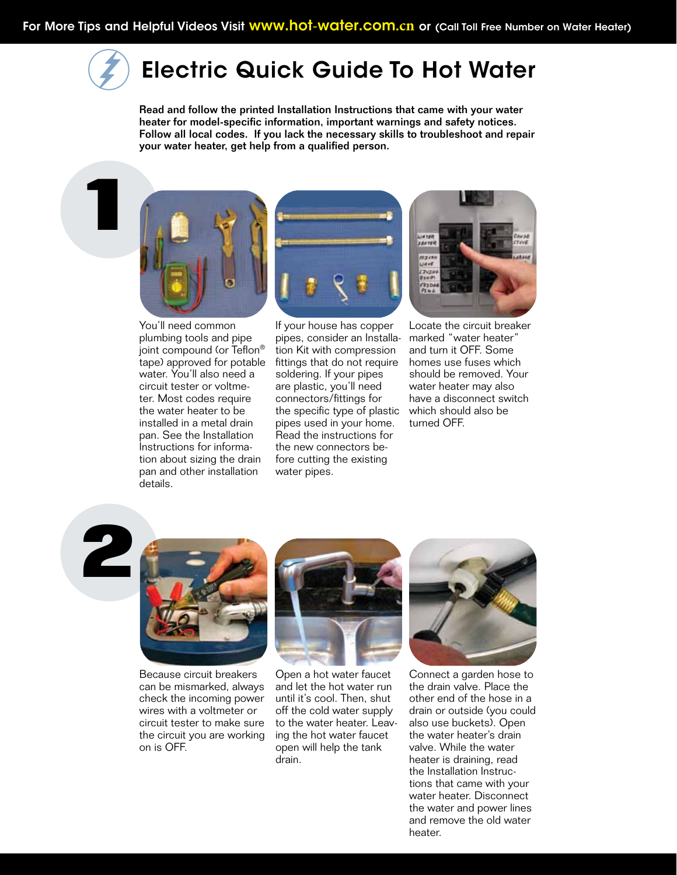## Electric Quick Guide To Hot Water

Read and follow the printed Installation Instructions that came with your water heater for model-specific information, important warnings and safety notices. Follow all local codes. If you lack the necessary skills to troubleshoot and repair your water heater, get help from a qualified person.

**1**



You'll need common plumbing tools and pipe joint compound (or Teflon® tape) approved for potable water. You'll also need a circuit tester or voltmeter. Most codes require the water heater to be installed in a metal drain pan. See the Installation Instructions for information about sizing the drain pan and other installation details.



If your house has copper pipes, consider an Installation Kit with compression fittings that do not require soldering. If your pipes are plastic, you'll need connectors/fittings for the specific type of plastic pipes used in your home. Read the instructions for the new connectors before cutting the existing water pipes.



Locate the circuit breaker marked "water heater" and turn it OFF. Some homes use fuses which should be removed. Your water heater may also have a disconnect switch which should also be turned OFF.

**2**



Because circuit breakers can be mismarked, always check the incoming power wires with a voltmeter or circuit tester to make sure the circuit you are working on is OFF.



Open a hot water faucet and let the hot water run until it's cool. Then, shut off the cold water supply to the water heater. Leaving the hot water faucet open will help the tank drain.



Connect a garden hose to the drain valve. Place the other end of the hose in a drain or outside (you could also use buckets). Open the water heater's drain valve. While the water heater is draining, read the Installation Instructions that came with your water heater. Disconnect the water and power lines and remove the old water heater.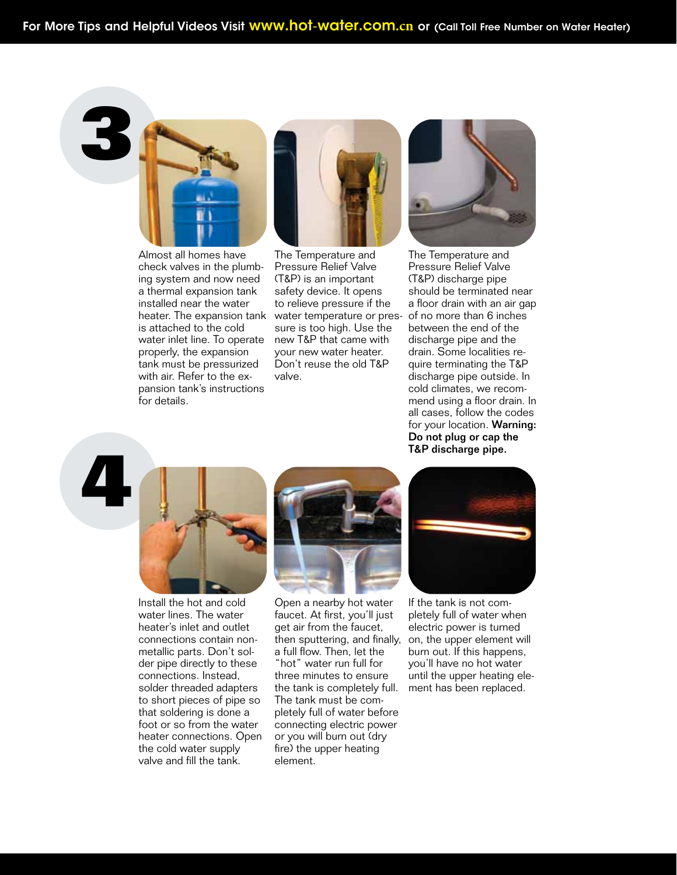**3**



Almost all homes have check valves in the plumbing system and now need a thermal expansion tank installed near the water heater. The expansion tank is attached to the cold water inlet line. To operate properly, the expansion tank must be pressurized with air. Refer to the expansion tank's instructions for details.



The Temperature and Pressure Relief Valve (T&P) is an important safety device. It opens to relieve pressure if the water temperature or pressure is too high. Use the new T&P that came with your new water heater. Don't reuse the old T&P valve.



The Temperature and Pressure Relief Valve (T&P) discharge pipe should be terminated near a floor drain with an air gap of no more than 6 inches between the end of the discharge pipe and the drain. Some localities require terminating the T&P discharge pipe outside. In cold climates, we recommend using a floor drain. In all cases, follow the codes for your location. Warning: Do not plug or cap the T&P discharge pipe.

**4**



Install the hot and cold water lines. The water heater's inlet and outlet connections contain nonmetallic parts. Don't solder pipe directly to these connections. Instead, solder threaded adapters to short pieces of pipe so that soldering is done a foot or so from the water heater connections. Open the cold water supply valve and fill the tank.



Open a nearby hot water faucet. At first, you'll just get air from the faucet, then sputtering, and finally, on, the upper element will a full flow. Then, let the "hot" water run full for three minutes to ensure the tank is completely full. The tank must be completely full of water before connecting electric power or you will burn out (dry fire) the upper heating element.



If the tank is not completely full of water when electric power is turned burn out. If this happens, you'll have no hot water until the upper heating element has been replaced.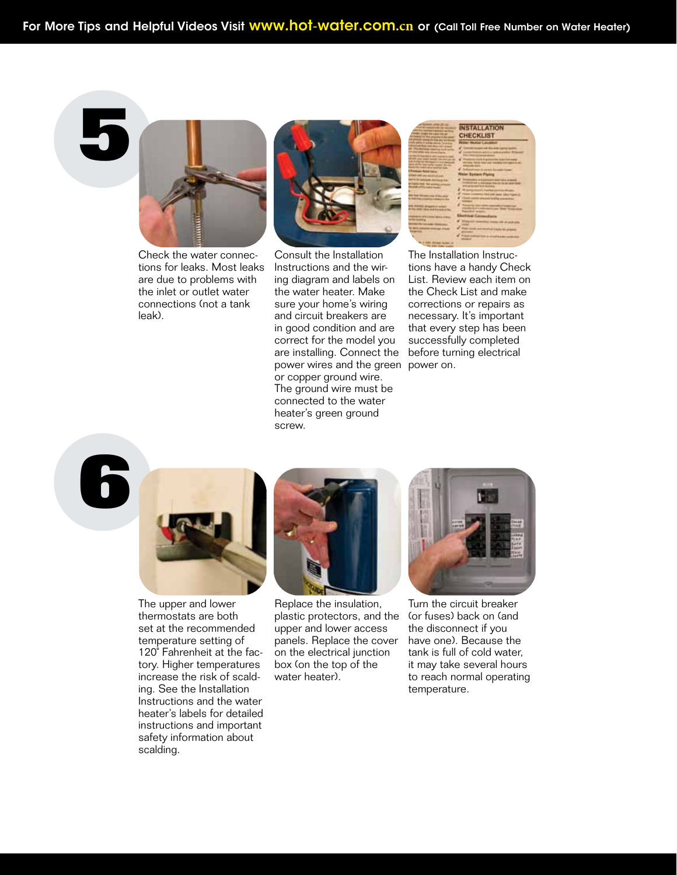## **5**



Check the water connections for leaks. Most leaks are due to problems with the inlet or outlet water connections (not a tank leak).



Consult the Installation Instructions and the wiring diagram and labels on the water heater. Make sure your home's wiring and circuit breakers are in good condition and are correct for the model you are installing. Connect the power wires and the green power on. or copper ground wire. The ground wire must be connected to the water heater's green ground screw.

|                                                                          | <b>INSTALLATION</b><br><b>CHECKLIST</b>                                                                                               |
|--------------------------------------------------------------------------|---------------------------------------------------------------------------------------------------------------------------------------|
|                                                                          | <b>Andrew Company Company</b><br><b>Lating a minimal Ellisonary</b>                                                                   |
| 131<br><b>Charles down</b>                                               | <b>USUARING &amp; SPINS R</b><br><b>Weler System Plains</b>                                                                           |
| <b>SPEE RUB The secretary primary</b><br><b>THE TWO STATES STATES IN</b> | model all y barrera for to a ward she<br>katakaman alikuwa<br>waliozaliwa kataka kutoka ku<br><b>Double and and and the company's</b> |
| <b>Second Property College Pro</b><br>acasan ara<br>Financing            | tion Time Station<br><b>Burning Cannochana</b><br><b>Pinnig Kill</b>                                                                  |
| <b>PRODUCTS</b> TOOLEAN AN<br>ï                                          | <b>Rail Smith B</b>                                                                                                                   |

The Installation Instructions have a handy Check List. Review each item on the Check List and make corrections or repairs as necessary. It's important that every step has been successfully completed before turning electrical





The upper and lower thermostats are both set at the recommended temperature setting of 120˚ Fahrenheit at the factory. Higher temperatures increase the risk of scalding. See the Installation Instructions and the water heater's labels for detailed instructions and important safety information about scalding.



Replace the insulation, plastic protectors, and the upper and lower access panels. Replace the cover on the electrical junction box (on the top of the water heater).



Turn the circuit breaker (or fuses) back on (and the disconnect if you have one). Because the tank is full of cold water, it may take several hours to reach normal operating temperature.